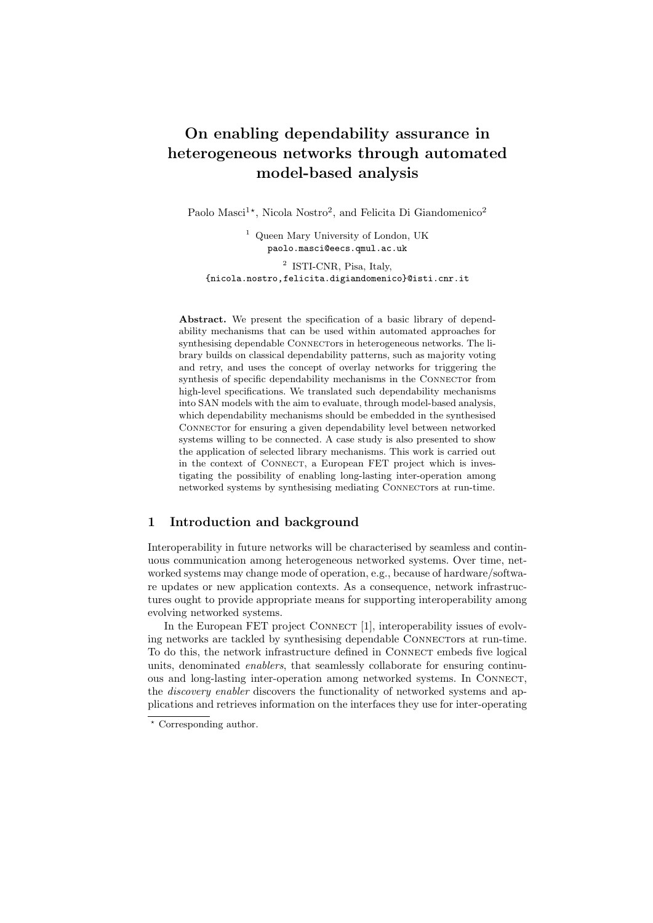# On enabling dependability assurance in heterogeneous networks through automated model-based analysis

Paolo Masci<sup>1</sup><sup>\*</sup>, Nicola Nostro<sup>2</sup>, and Felicita Di Giandomenico<sup>2</sup>

<sup>1</sup> Queen Mary University of London, UK paolo.masci@eecs.qmul.ac.uk

2 ISTI-CNR, Pisa, Italy, {nicola.nostro,felicita.digiandomenico}@isti.cnr.it

Abstract. We present the specification of a basic library of dependability mechanisms that can be used within automated approaches for synthesising dependable CONNECTORS in heterogeneous networks. The library builds on classical dependability patterns, such as majority voting and retry, and uses the concept of overlay networks for triggering the synthesis of specific dependability mechanisms in the CONNECTOR from high-level specifications. We translated such dependability mechanisms into SAN models with the aim to evaluate, through model-based analysis, which dependability mechanisms should be embedded in the synthesised CONNECTOR for ensuring a given dependability level between networked systems willing to be connected. A case study is also presented to show the application of selected library mechanisms. This work is carried out in the context of CONNECT, a European FET project which is investigating the possibility of enabling long-lasting inter-operation among networked systems by synthesising mediating CONNECTOrs at run-time.

## 1 Introduction and background

Interoperability in future networks will be characterised by seamless and continuous communication among heterogeneous networked systems. Over time, networked systems may change mode of operation, e.g., because of hardware/software updates or new application contexts. As a consequence, network infrastructures ought to provide appropriate means for supporting interoperability among evolving networked systems.

In the European FET project CONNECT [1], interoperability issues of evolving networks are tackled by synthesising dependable CONNECTOrs at run-time. To do this, the network infrastructure defined in CONNECT embeds five logical units, denominated enablers, that seamlessly collaborate for ensuring continuous and long-lasting inter-operation among networked systems. In Connect, the *discovery enabler* discovers the functionality of networked systems and applications and retrieves information on the interfaces they use for inter-operating

<sup>⋆</sup> Corresponding author.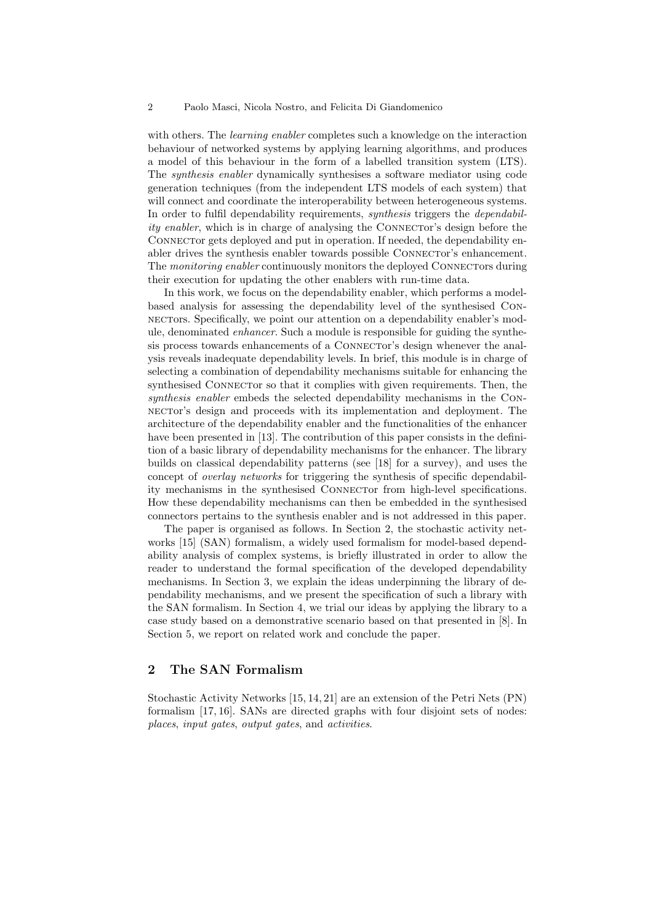with others. The *learning enabler* completes such a knowledge on the interaction behaviour of networked systems by applying learning algorithms, and produces a model of this behaviour in the form of a labelled transition system (LTS). The synthesis enabler dynamically synthesises a software mediator using code generation techniques (from the independent LTS models of each system) that will connect and coordinate the interoperability between heterogeneous systems. In order to fulfil dependability requirements, synthesis triggers the dependability enabler, which is in charge of analysing the CONNECTOR's design before the CONNECTOR gets deployed and put in operation. If needed, the dependability enabler drives the synthesis enabler towards possible CONNECTOR's enhancement. The *monitoring enabler* continuously monitors the deployed CONNECTORS during their execution for updating the other enablers with run-time data.

In this work, we focus on the dependability enabler, which performs a modelbased analysis for assessing the dependability level of the synthesised Connectors. Specifically, we point our attention on a dependability enabler's module, denominated enhancer. Such a module is responsible for guiding the synthesis process towards enhancements of a CONNECTOr's design whenever the analysis reveals inadequate dependability levels. In brief, this module is in charge of selecting a combination of dependability mechanisms suitable for enhancing the synthesised CONNECTOR so that it complies with given requirements. Then, the synthesis enabler embeds the selected dependability mechanisms in the CONnector's design and proceeds with its implementation and deployment. The architecture of the dependability enabler and the functionalities of the enhancer have been presented in [13]. The contribution of this paper consists in the definition of a basic library of dependability mechanisms for the enhancer. The library builds on classical dependability patterns (see [18] for a survey), and uses the concept of overlay networks for triggering the synthesis of specific dependability mechanisms in the synthesised CONNECTOR from high-level specifications. How these dependability mechanisms can then be embedded in the synthesised connectors pertains to the synthesis enabler and is not addressed in this paper.

The paper is organised as follows. In Section 2, the stochastic activity networks [15] (SAN) formalism, a widely used formalism for model-based dependability analysis of complex systems, is briefly illustrated in order to allow the reader to understand the formal specification of the developed dependability mechanisms. In Section 3, we explain the ideas underpinning the library of dependability mechanisms, and we present the specification of such a library with the SAN formalism. In Section 4, we trial our ideas by applying the library to a case study based on a demonstrative scenario based on that presented in [8]. In Section 5, we report on related work and conclude the paper.

## 2 The SAN Formalism

Stochastic Activity Networks [15, 14, 21] are an extension of the Petri Nets (PN) formalism [17, 16]. SANs are directed graphs with four disjoint sets of nodes: places, input gates, output gates, and activities.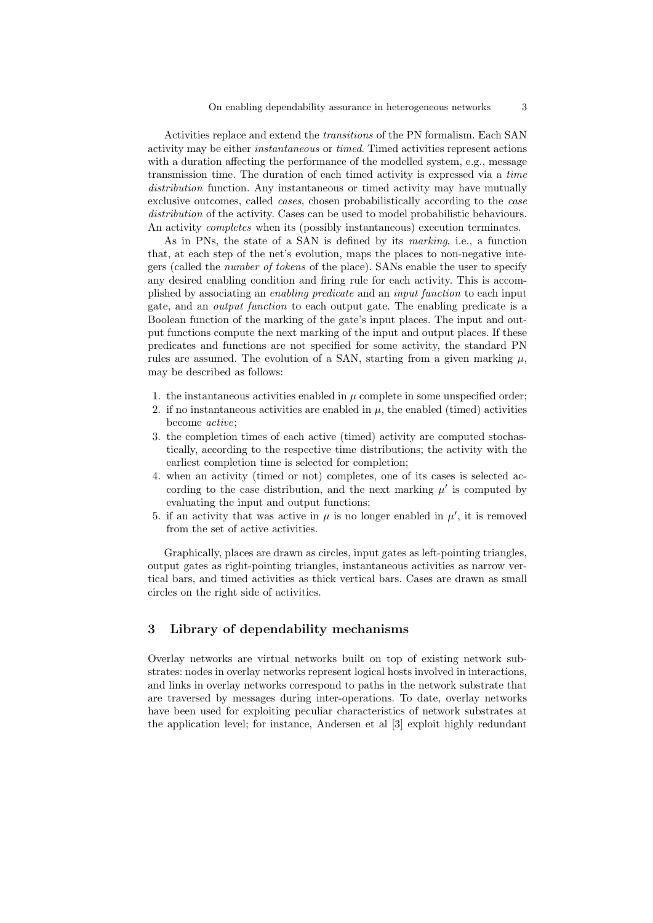Activities replace and extend the transitions of the PN formalism. Each SAN activity may be either instantaneous or timed. Timed activities represent actions with a duration affecting the performance of the modelled system, e.g., message transmission time. The duration of each timed activity is expressed via a time distribution function. Any instantaneous or timed activity may have mutually exclusive outcomes, called cases, chosen probabilistically according to the case distribution of the activity. Cases can be used to model probabilistic behaviours. An activity *completes* when its (possibly instantaneous) execution terminates.

As in PNs, the state of a SAN is defined by its marking, i.e., a function that, at each step of the net's evolution, maps the places to non-negative integers (called the number of tokens of the place). SANs enable the user to specify any desired enabling condition and firing rule for each activity. This is accomplished by associating an enabling predicate and an input function to each input gate, and an output function to each output gate. The enabling predicate is a Boolean function of the marking of the gate's input places. The input and output functions compute the next marking of the input and output places. If these predicates and functions are not specified for some activity, the standard PN rules are assumed. The evolution of a SAN, starting from a given marking  $\mu$ , may be described as follows:

- 1. the instantaneous activities enabled in  $\mu$  complete in some unspecified order;
- 2. if no instantaneous activities are enabled in  $\mu$ , the enabled (timed) activities become active;
- 3. the completion times of each active (timed) activity are computed stochastically, according to the respective time distributions; the activity with the earliest completion time is selected for completion;
- 4. when an activity (timed or not) completes, one of its cases is selected according to the case distribution, and the next marking  $\mu'$  is computed by evaluating the input and output functions;
- 5. if an activity that was active in  $\mu$  is no longer enabled in  $\mu'$ , it is removed from the set of active activities.

Graphically, places are drawn as circles, input gates as left-pointing triangles, output gates as right-pointing triangles, instantaneous activities as narrow vertical bars, and timed activities as thick vertical bars. Cases are drawn as small circles on the right side of activities.

## 3 Library of dependability mechanisms

Overlay networks are virtual networks built on top of existing network substrates: nodes in overlay networks represent logical hosts involved in interactions, and links in overlay networks correspond to paths in the network substrate that are traversed by messages during inter-operations. To date, overlay networks have been used for exploiting peculiar characteristics of network substrates at the application level; for instance, Andersen et al [3] exploit highly redundant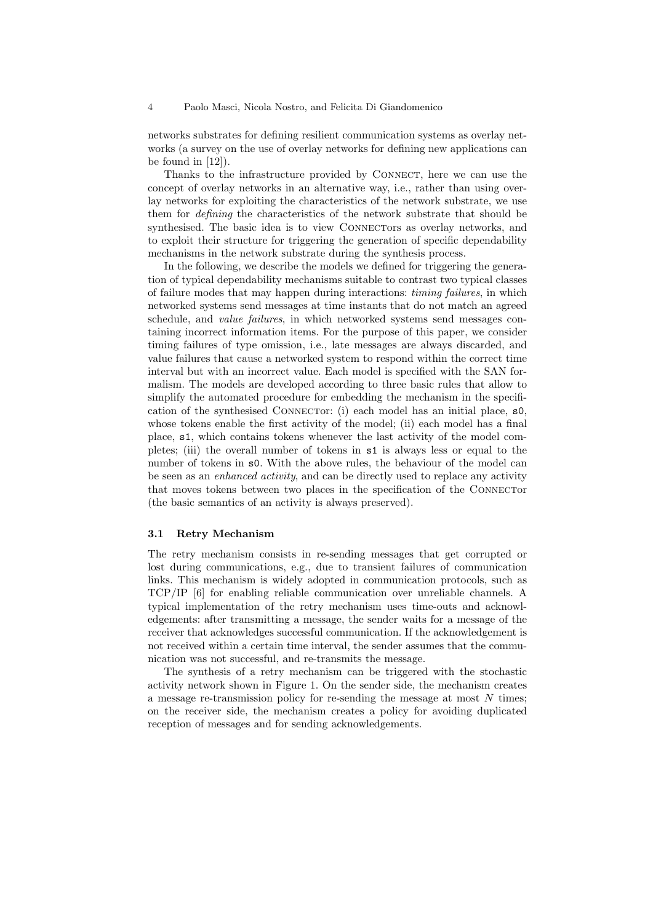#### 4 Paolo Masci, Nicola Nostro, and Felicita Di Giandomenico

networks substrates for defining resilient communication systems as overlay networks (a survey on the use of overlay networks for defining new applications can be found in [12]).

Thanks to the infrastructure provided by CONNECT, here we can use the concept of overlay networks in an alternative way, i.e., rather than using overlay networks for exploiting the characteristics of the network substrate, we use them for defining the characteristics of the network substrate that should be synthesised. The basic idea is to view CONNECTORS as overlay networks, and to exploit their structure for triggering the generation of specific dependability mechanisms in the network substrate during the synthesis process.

In the following, we describe the models we defined for triggering the generation of typical dependability mechanisms suitable to contrast two typical classes of failure modes that may happen during interactions: timing failures, in which networked systems send messages at time instants that do not match an agreed schedule, and *value failures*, in which networked systems send messages containing incorrect information items. For the purpose of this paper, we consider timing failures of type omission, i.e., late messages are always discarded, and value failures that cause a networked system to respond within the correct time interval but with an incorrect value. Each model is specified with the SAN formalism. The models are developed according to three basic rules that allow to simplify the automated procedure for embedding the mechanism in the specification of the synthesised CONNECTOR: (i) each model has an initial place,  $s0$ , whose tokens enable the first activity of the model; (ii) each model has a final place, s1, which contains tokens whenever the last activity of the model completes; (iii) the overall number of tokens in s1 is always less or equal to the number of tokens in s0. With the above rules, the behaviour of the model can be seen as an enhanced activity, and can be directly used to replace any activity that moves tokens between two places in the specification of the CONNECTOR (the basic semantics of an activity is always preserved).

### 3.1 Retry Mechanism

The retry mechanism consists in re-sending messages that get corrupted or lost during communications, e.g., due to transient failures of communication links. This mechanism is widely adopted in communication protocols, such as TCP/IP [6] for enabling reliable communication over unreliable channels. A typical implementation of the retry mechanism uses time-outs and acknowledgements: after transmitting a message, the sender waits for a message of the receiver that acknowledges successful communication. If the acknowledgement is not received within a certain time interval, the sender assumes that the communication was not successful, and re-transmits the message.

The synthesis of a retry mechanism can be triggered with the stochastic activity network shown in Figure 1. On the sender side, the mechanism creates a message re-transmission policy for re-sending the message at most  $N$  times; on the receiver side, the mechanism creates a policy for avoiding duplicated reception of messages and for sending acknowledgements.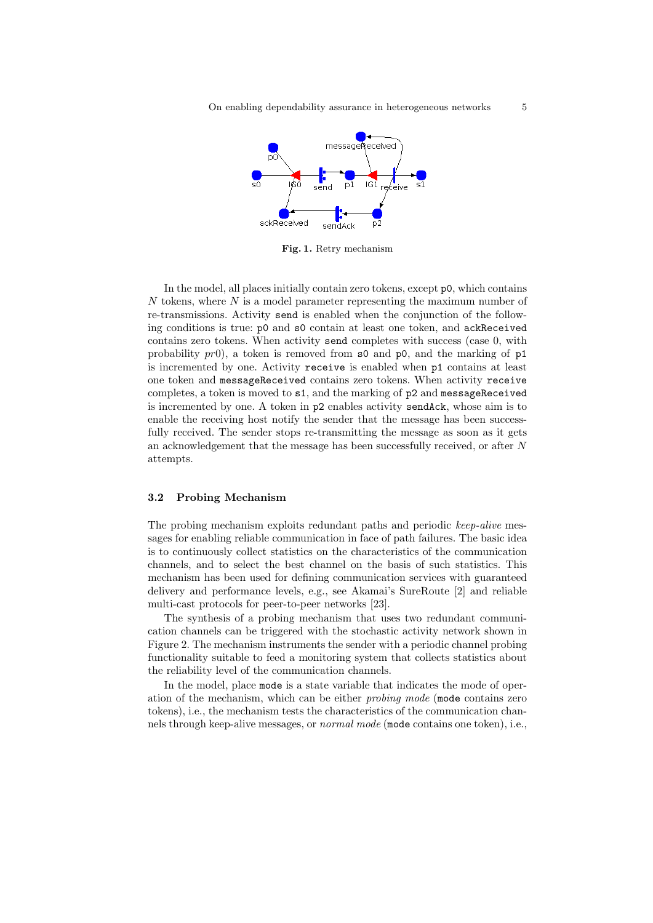

Fig. 1. Retry mechanism

In the model, all places initially contain zero tokens, except p0, which contains N tokens, where  $N$  is a model parameter representing the maximum number of re-transmissions. Activity send is enabled when the conjunction of the following conditions is true: p0 and s0 contain at least one token, and ackReceived contains zero tokens. When activity send completes with success (case 0, with probability  $pr0$ , a token is removed from s0 and p0, and the marking of p1 is incremented by one. Activity receive is enabled when p1 contains at least one token and messageReceived contains zero tokens. When activity receive completes, a token is moved to s1, and the marking of p2 and messageReceived is incremented by one. A token in p2 enables activity sendAck, whose aim is to enable the receiving host notify the sender that the message has been successfully received. The sender stops re-transmitting the message as soon as it gets an acknowledgement that the message has been successfully received, or after N attempts.

#### 3.2 Probing Mechanism

The probing mechanism exploits redundant paths and periodic keep-alive messages for enabling reliable communication in face of path failures. The basic idea is to continuously collect statistics on the characteristics of the communication channels, and to select the best channel on the basis of such statistics. This mechanism has been used for defining communication services with guaranteed delivery and performance levels, e.g., see Akamai's SureRoute [2] and reliable multi-cast protocols for peer-to-peer networks [23].

The synthesis of a probing mechanism that uses two redundant communication channels can be triggered with the stochastic activity network shown in Figure 2. The mechanism instruments the sender with a periodic channel probing functionality suitable to feed a monitoring system that collects statistics about the reliability level of the communication channels.

In the model, place mode is a state variable that indicates the mode of operation of the mechanism, which can be either probing mode (mode contains zero tokens), i.e., the mechanism tests the characteristics of the communication channels through keep-alive messages, or normal mode (mode contains one token), i.e.,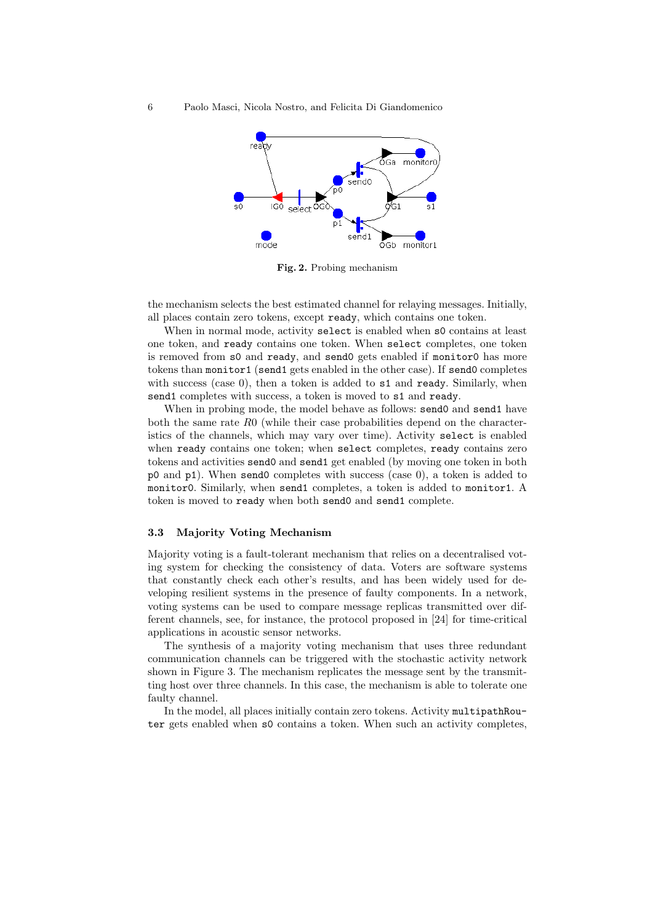

Fig. 2. Probing mechanism

the mechanism selects the best estimated channel for relaying messages. Initially, all places contain zero tokens, except ready, which contains one token.

When in normal mode, activity select is enabled when s0 contains at least one token, and ready contains one token. When select completes, one token is removed from s0 and ready, and send0 gets enabled if monitor0 has more tokens than monitor1 (send1 gets enabled in the other case). If send0 completes with success (case 0), then a token is added to  $s1$  and ready. Similarly, when send1 completes with success, a token is moved to s1 and ready.

When in probing mode, the model behave as follows: send0 and send1 have both the same rate R0 (while their case probabilities depend on the characteristics of the channels, which may vary over time). Activity select is enabled when ready contains one token; when select completes, ready contains zero tokens and activities send0 and send1 get enabled (by moving one token in both p0 and p1). When send0 completes with success (case 0), a token is added to monitor0. Similarly, when send1 completes, a token is added to monitor1. A token is moved to ready when both send0 and send1 complete.

## 3.3 Majority Voting Mechanism

Majority voting is a fault-tolerant mechanism that relies on a decentralised voting system for checking the consistency of data. Voters are software systems that constantly check each other's results, and has been widely used for developing resilient systems in the presence of faulty components. In a network, voting systems can be used to compare message replicas transmitted over different channels, see, for instance, the protocol proposed in [24] for time-critical applications in acoustic sensor networks.

The synthesis of a majority voting mechanism that uses three redundant communication channels can be triggered with the stochastic activity network shown in Figure 3. The mechanism replicates the message sent by the transmitting host over three channels. In this case, the mechanism is able to tolerate one faulty channel.

In the model, all places initially contain zero tokens. Activity multipathRouter gets enabled when s0 contains a token. When such an activity completes,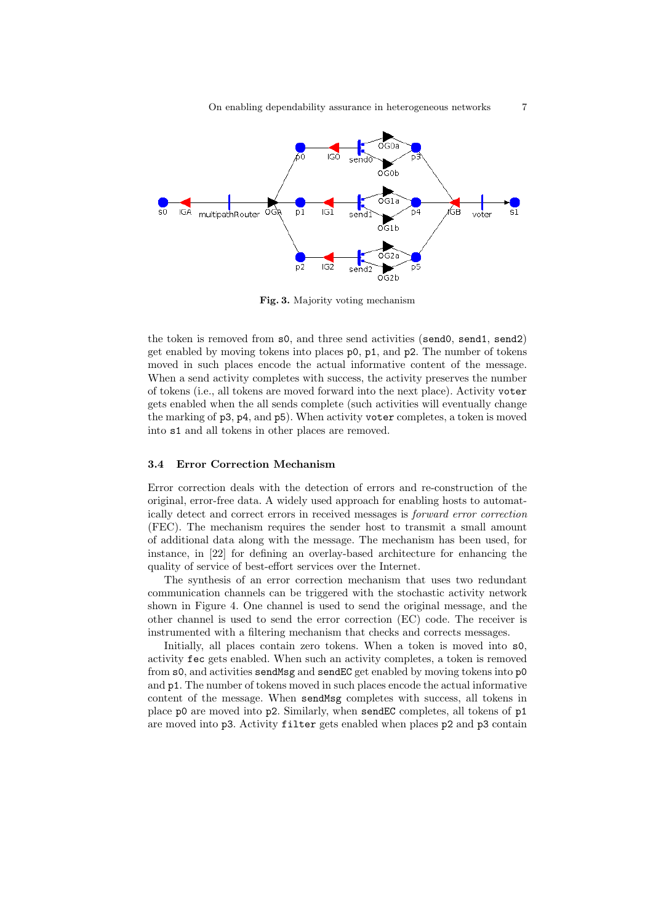

Fig. 3. Majority voting mechanism

the token is removed from  $s0$ , and three send activities (send0, send1, send2) get enabled by moving tokens into places p0, p1, and p2. The number of tokens moved in such places encode the actual informative content of the message. When a send activity completes with success, the activity preserves the number of tokens (i.e., all tokens are moved forward into the next place). Activity voter gets enabled when the all sends complete (such activities will eventually change the marking of p3, p4, and p5). When activity voter completes, a token is moved into s1 and all tokens in other places are removed.

#### 3.4 Error Correction Mechanism

Error correction deals with the detection of errors and re-construction of the original, error-free data. A widely used approach for enabling hosts to automatically detect and correct errors in received messages is forward error correction (FEC). The mechanism requires the sender host to transmit a small amount of additional data along with the message. The mechanism has been used, for instance, in [22] for defining an overlay-based architecture for enhancing the quality of service of best-effort services over the Internet.

The synthesis of an error correction mechanism that uses two redundant communication channels can be triggered with the stochastic activity network shown in Figure 4. One channel is used to send the original message, and the other channel is used to send the error correction (EC) code. The receiver is instrumented with a filtering mechanism that checks and corrects messages.

Initially, all places contain zero tokens. When a token is moved into  $s0$ , activity fec gets enabled. When such an activity completes, a token is removed from s0, and activities sendMsg and sendEC get enabled by moving tokens into p0 and p1. The number of tokens moved in such places encode the actual informative content of the message. When sendMsg completes with success, all tokens in place p0 are moved into p2. Similarly, when sendEC completes, all tokens of p1 are moved into p3. Activity filter gets enabled when places p2 and p3 contain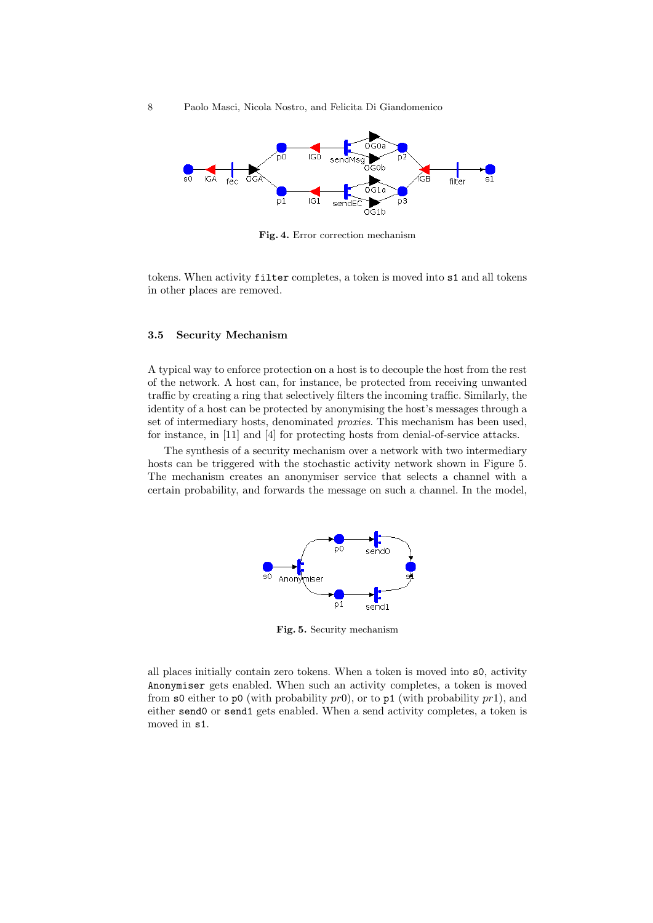

Fig. 4. Error correction mechanism

tokens. When activity filter completes, a token is moved into s1 and all tokens in other places are removed.

### 3.5 Security Mechanism

A typical way to enforce protection on a host is to decouple the host from the rest of the network. A host can, for instance, be protected from receiving unwanted traffic by creating a ring that selectively filters the incoming traffic. Similarly, the identity of a host can be protected by anonymising the host's messages through a set of intermediary hosts, denominated *proxies*. This mechanism has been used, for instance, in [11] and [4] for protecting hosts from denial-of-service attacks.

The synthesis of a security mechanism over a network with two intermediary hosts can be triggered with the stochastic activity network shown in Figure 5. The mechanism creates an anonymiser service that selects a channel with a certain probability, and forwards the message on such a channel. In the model,



Fig. 5. Security mechanism

all places initially contain zero tokens. When a token is moved into s0, activity Anonymiser gets enabled. When such an activity completes, a token is moved from s0 either to p0 (with probability  $pr0$ ), or to p1 (with probability  $pr1$ ), and either send0 or send1 gets enabled. When a send activity completes, a token is moved in s1.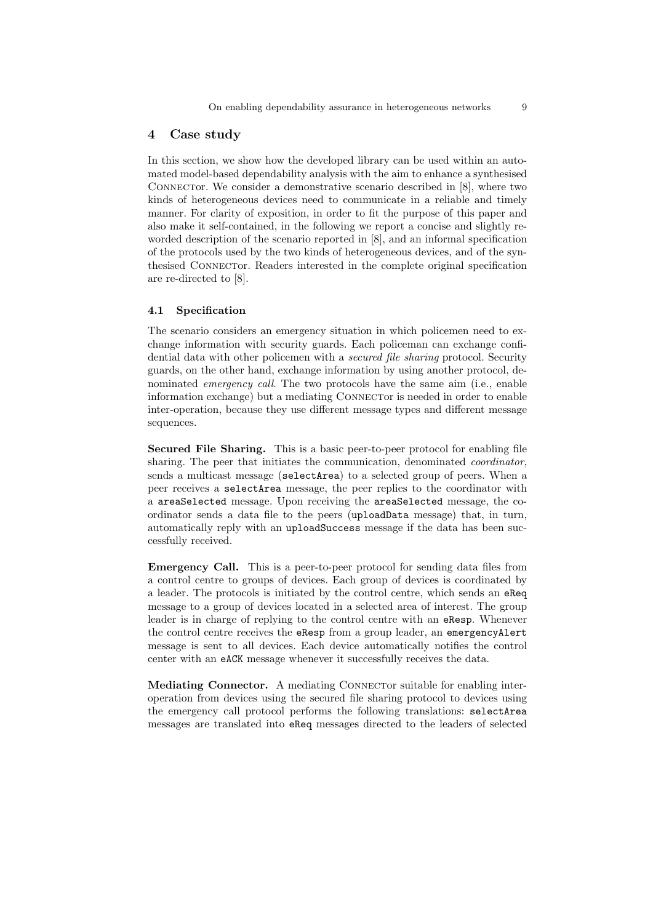#### 4 Case study

In this section, we show how the developed library can be used within an automated model-based dependability analysis with the aim to enhance a synthesised CONNECTOR. We consider a demonstrative scenario described in [8], where two kinds of heterogeneous devices need to communicate in a reliable and timely manner. For clarity of exposition, in order to fit the purpose of this paper and also make it self-contained, in the following we report a concise and slightly reworded description of the scenario reported in [8], and an informal specification of the protocols used by the two kinds of heterogeneous devices, and of the synthesised CONNECTOR. Readers interested in the complete original specification are re-directed to [8].

#### 4.1 Specification

The scenario considers an emergency situation in which policemen need to exchange information with security guards. Each policeman can exchange confidential data with other policemen with a secured file sharing protocol. Security guards, on the other hand, exchange information by using another protocol, denominated *emergency call*. The two protocols have the same aim (i.e., enable information exchange) but a mediating CONNECTOR is needed in order to enable inter-operation, because they use different message types and different message sequences.

Secured File Sharing. This is a basic peer-to-peer protocol for enabling file sharing. The peer that initiates the communication, denominated *coordinator*, sends a multicast message (selectArea) to a selected group of peers. When a peer receives a selectArea message, the peer replies to the coordinator with a areaSelected message. Upon receiving the areaSelected message, the coordinator sends a data file to the peers (uploadData message) that, in turn, automatically reply with an uploadSuccess message if the data has been successfully received.

Emergency Call. This is a peer-to-peer protocol for sending data files from a control centre to groups of devices. Each group of devices is coordinated by a leader. The protocols is initiated by the control centre, which sends an eReq message to a group of devices located in a selected area of interest. The group leader is in charge of replying to the control centre with an eResp. Whenever the control centre receives the eResp from a group leader, an emergencyAlert message is sent to all devices. Each device automatically notifies the control center with an eACK message whenever it successfully receives the data.

Mediating Connector. A mediating CONNECTOr suitable for enabling interoperation from devices using the secured file sharing protocol to devices using the emergency call protocol performs the following translations: selectArea messages are translated into eReq messages directed to the leaders of selected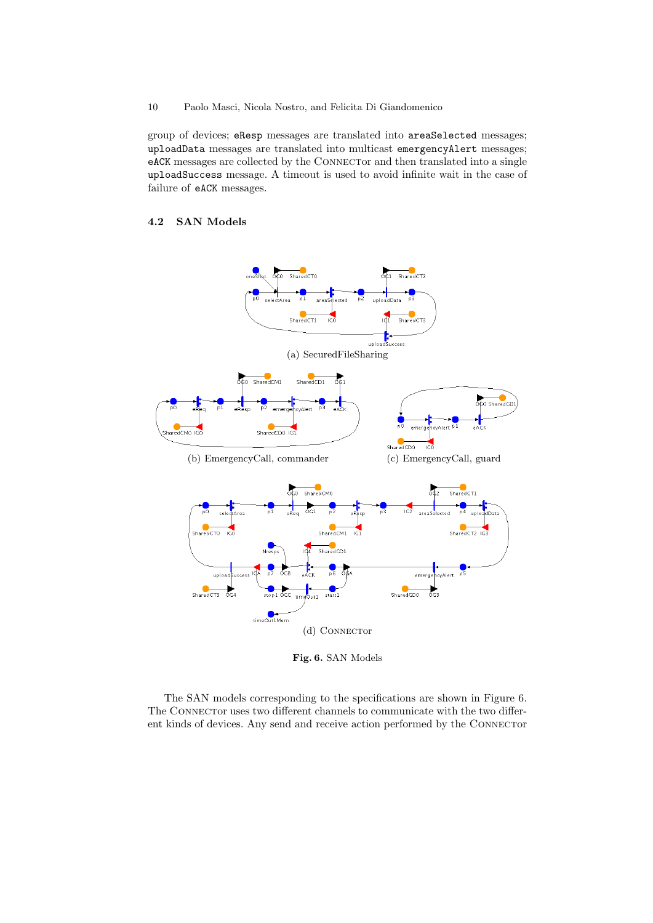10 Paolo Masci, Nicola Nostro, and Felicita Di Giandomenico

group of devices; eResp messages are translated into areaSelected messages; uploadData messages are translated into multicast emergencyAlert messages; eACK messages are collected by the CONNECTOr and then translated into a single uploadSuccess message. A timeout is used to avoid infinite wait in the case of failure of eACK messages.

## 4.2 SAN Models



Fig. 6. SAN Models

The SAN models corresponding to the specifications are shown in Figure 6. The CONNECTOR uses two different channels to communicate with the two different kinds of devices. Any send and receive action performed by the CONNECTOr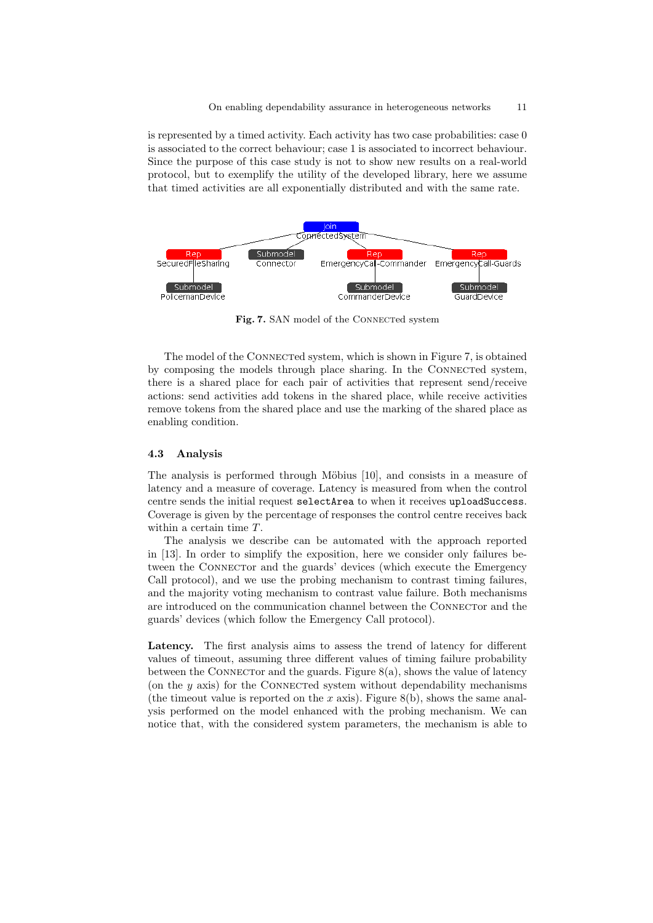is represented by a timed activity. Each activity has two case probabilities: case 0 is associated to the correct behaviour; case 1 is associated to incorrect behaviour. Since the purpose of this case study is not to show new results on a real-world protocol, but to exemplify the utility of the developed library, here we assume that timed activities are all exponentially distributed and with the same rate.



Fig. 7. SAN model of the CONNECTed system

The model of the CONNECTED system, which is shown in Figure 7, is obtained by composing the models through place sharing. In the CONNECTed system, there is a shared place for each pair of activities that represent send/receive actions: send activities add tokens in the shared place, while receive activities remove tokens from the shared place and use the marking of the shared place as enabling condition.

#### 4.3 Analysis

The analysis is performed through Möbius [10], and consists in a measure of latency and a measure of coverage. Latency is measured from when the control centre sends the initial request selectArea to when it receives uploadSuccess. Coverage is given by the percentage of responses the control centre receives back within a certain time T.

The analysis we describe can be automated with the approach reported in [13]. In order to simplify the exposition, here we consider only failures between the CONNECTOr and the guards' devices (which execute the Emergency Call protocol), and we use the probing mechanism to contrast timing failures, and the majority voting mechanism to contrast value failure. Both mechanisms are introduced on the communication channel between the CONNECTOR and the guards' devices (which follow the Emergency Call protocol).

Latency. The first analysis aims to assess the trend of latency for different values of timeout, assuming three different values of timing failure probability between the CONNECTOR and the guards. Figure  $8(a)$ , shows the value of latency (on the  $y$  axis) for the CONNECTED system without dependability mechanisms (the timeout value is reported on the x axis). Figure  $8(b)$ , shows the same analysis performed on the model enhanced with the probing mechanism. We can notice that, with the considered system parameters, the mechanism is able to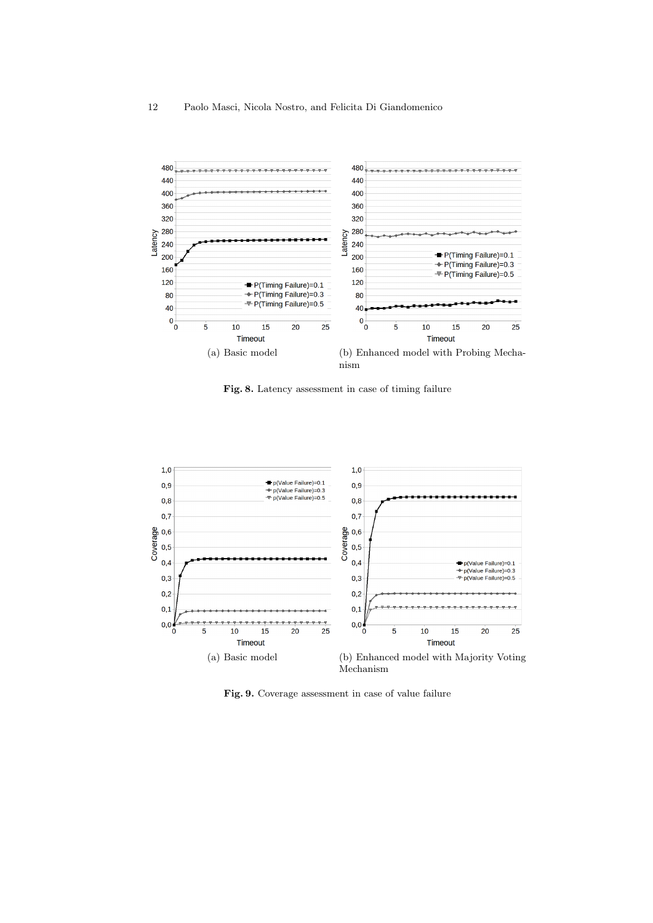

Fig. 8. Latency assessment in case of timing failure



Fig. 9. Coverage assessment in case of value failure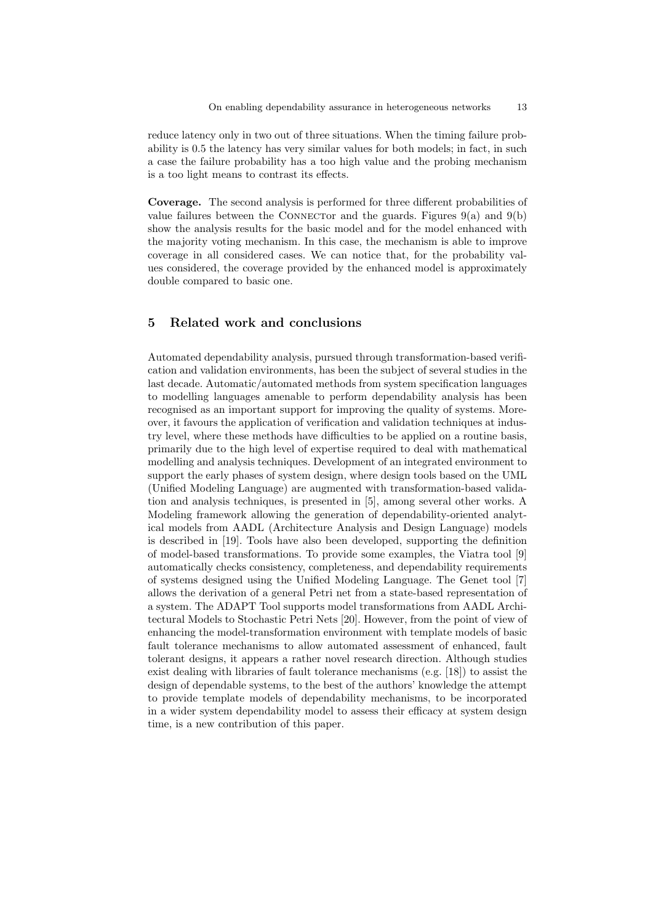reduce latency only in two out of three situations. When the timing failure probability is 0.5 the latency has very similar values for both models; in fact, in such a case the failure probability has a too high value and the probing mechanism is a too light means to contrast its effects.

Coverage. The second analysis is performed for three different probabilities of value failures between the CONNECTOR and the guards. Figures  $9(a)$  and  $9(b)$ show the analysis results for the basic model and for the model enhanced with the majority voting mechanism. In this case, the mechanism is able to improve coverage in all considered cases. We can notice that, for the probability values considered, the coverage provided by the enhanced model is approximately double compared to basic one.

## 5 Related work and conclusions

Automated dependability analysis, pursued through transformation-based verification and validation environments, has been the subject of several studies in the last decade. Automatic/automated methods from system specification languages to modelling languages amenable to perform dependability analysis has been recognised as an important support for improving the quality of systems. Moreover, it favours the application of verification and validation techniques at industry level, where these methods have difficulties to be applied on a routine basis, primarily due to the high level of expertise required to deal with mathematical modelling and analysis techniques. Development of an integrated environment to support the early phases of system design, where design tools based on the UML (Unified Modeling Language) are augmented with transformation-based validation and analysis techniques, is presented in [5], among several other works. A Modeling framework allowing the generation of dependability-oriented analytical models from AADL (Architecture Analysis and Design Language) models is described in [19]. Tools have also been developed, supporting the definition of model-based transformations. To provide some examples, the Viatra tool [9] automatically checks consistency, completeness, and dependability requirements of systems designed using the Unified Modeling Language. The Genet tool [7] allows the derivation of a general Petri net from a state-based representation of a system. The ADAPT Tool supports model transformations from AADL Architectural Models to Stochastic Petri Nets [20]. However, from the point of view of enhancing the model-transformation environment with template models of basic fault tolerance mechanisms to allow automated assessment of enhanced, fault tolerant designs, it appears a rather novel research direction. Although studies exist dealing with libraries of fault tolerance mechanisms (e.g. [18]) to assist the design of dependable systems, to the best of the authors' knowledge the attempt to provide template models of dependability mechanisms, to be incorporated in a wider system dependability model to assess their efficacy at system design time, is a new contribution of this paper.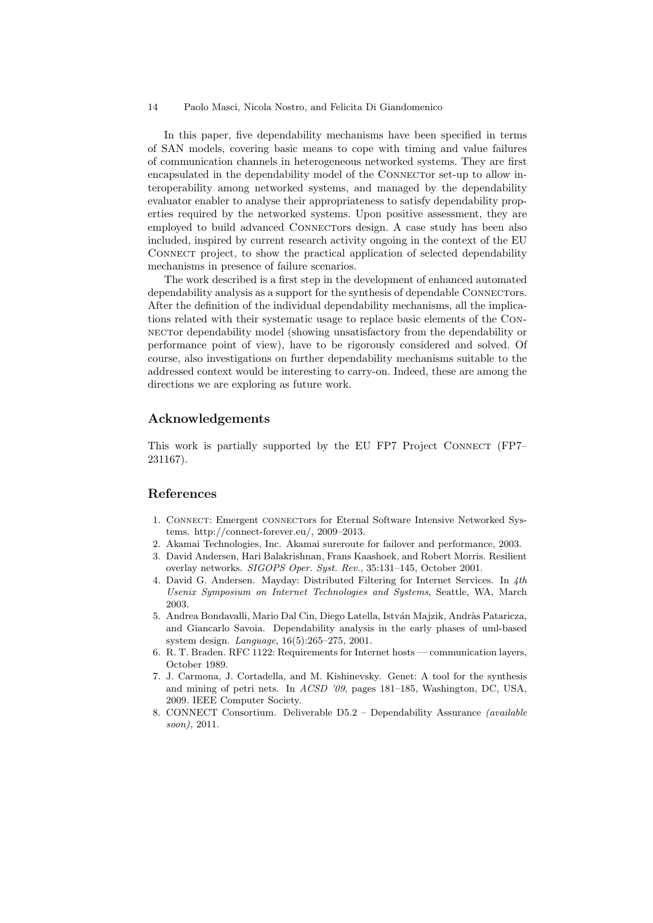14 Paolo Masci, Nicola Nostro, and Felicita Di Giandomenico

In this paper, five dependability mechanisms have been specified in terms of SAN models, covering basic means to cope with timing and value failures of communication channels in heterogeneous networked systems. They are first encapsulated in the dependability model of the CONNECTOR set-up to allow interoperability among networked systems, and managed by the dependability evaluator enabler to analyse their appropriateness to satisfy dependability properties required by the networked systems. Upon positive assessment, they are employed to build advanced CONNECTOR design. A case study has been also included, inspired by current research activity ongoing in the context of the EU CONNECT project, to show the practical application of selected dependability mechanisms in presence of failure scenarios.

The work described is a first step in the development of enhanced automated dependability analysis as a support for the synthesis of dependable CONNECTOrs. After the definition of the individual dependability mechanisms, all the implications related with their systematic usage to replace basic elements of the Connector dependability model (showing unsatisfactory from the dependability or performance point of view), have to be rigorously considered and solved. Of course, also investigations on further dependability mechanisms suitable to the addressed context would be interesting to carry-on. Indeed, these are among the directions we are exploring as future work.

## Acknowledgements

This work is partially supported by the EU FP7 Project CONNECT (FP7– 231167).

## References

- 1. CONNECT: Emergent CONNECTORS for Eternal Software Intensive Networked Systems. http://connect-forever.eu/, 2009–2013.
- 2. Akamai Technologies, Inc. Akamai sureroute for failover and performance, 2003.
- 3. David Andersen, Hari Balakrishnan, Frans Kaashoek, and Robert Morris. Resilient overlay networks. *SIGOPS Oper. Syst. Rev.*, 35:131–145, October 2001.
- 4. David G. Andersen. Mayday: Distributed Filtering for Internet Services. In *4th Usenix Symposium on Internet Technologies and Systems*, Seattle, WA, March 2003.
- 5. Andrea Bondavalli, Mario Dal Cin, Diego Latella, István Majzik, Andràs Pataricza, and Giancarlo Savoia. Dependability analysis in the early phases of uml-based system design. *Language*, 16(5):265–275, 2001.
- 6. R. T. Braden. RFC 1122: Requirements for Internet hosts communication layers, October 1989.
- 7. J. Carmona, J. Cortadella, and M. Kishinevsky. Genet: A tool for the synthesis and mining of petri nets. In *ACSD '09*, pages 181–185, Washington, DC, USA, 2009. IEEE Computer Society.
- 8. CONNECT Consortium. Deliverable D5.2 Dependability Assurance *(available soon)*, 2011.